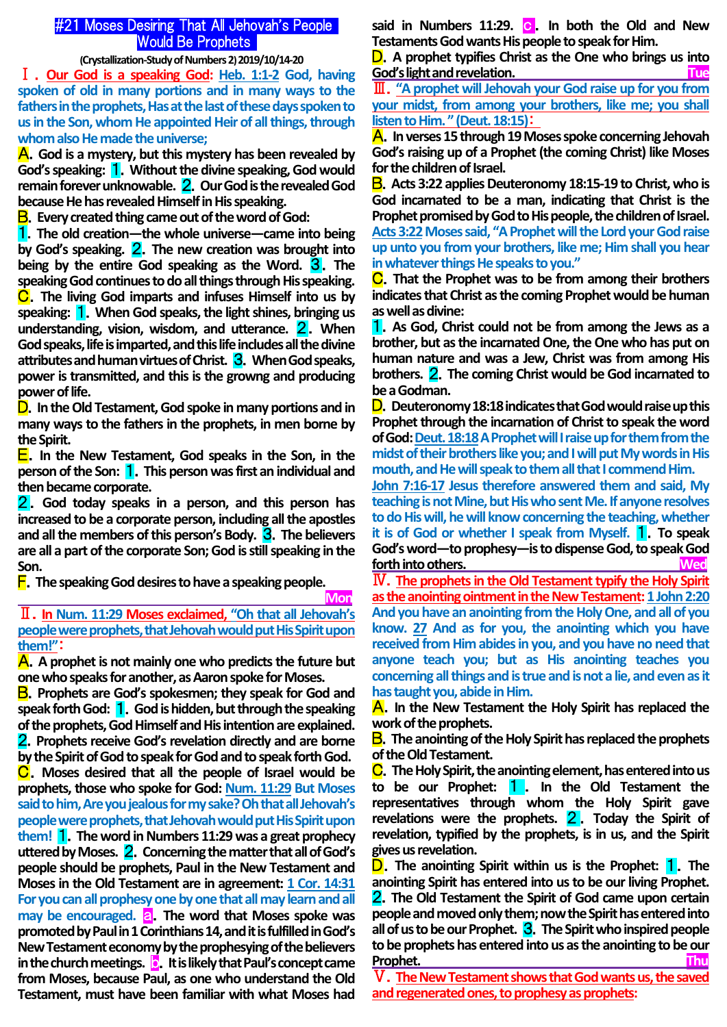# #21 Moses Desiring That All Jehovah's People Would Be Prophets

**(Crystallization-Study of Numbers 2) 2019/10/14-20**

Ⅰ.**Our God is a speaking God: Heb. 1:1-2 God, having spoken of old in many portions and in many ways to the fathers in the prophets, Has at the last of these days spoken to us in the Son, whom He appointed Heir of all things, through whom also He made the universe;** 

A.**God is a mystery, but this mystery has been revealed by God's speaking:** 1.**Without the divine speaking, God would remain forever unknowable.** 2.**Our God is the revealed God because He has revealed Himself in His speaking.**

B.**Every created thing came out of the word of God:**

1.**The old creation—the whole universe—came into being by God's speaking.** 2.**The new creation was brought into being by the entire God speaking as the Word.** 3.**The speaking God continues to do all things through His speaking.** C.**The living God imparts and infuses Himself into us by speaking:** 1.**When God speaks, the light shines, bringing us understanding, vision, wisdom, and utterance.** 2.**When God speaks, life is imparted, and this life includes all the divine attributes and human virtues of Christ.** 3.**When God speaks, power is transmitted, and this is the growng and producing power of life.**

D.**In the Old Testament, God spoke in many portions and in many ways to the fathers in the prophets, in men borne by the Spirit.**

E.**In the New Testament, God speaks in the Son, in the person of the Son:** 1.**This person was first an individual and then became corporate.**

2.**God today speaks in a person, and this person has increased to be a corporate person, including all the apostles**  and all the members of this person's Body. **3**. The believers **are all a part of the corporate Son; God is still speaking in the Son.**

F.**The speaking God desires to have a speaking people.**

 **Mon**

Ⅱ.**In Num. 11:29 Moses exclaimed, "Oh that all Jehovah's people were prophets, that Jehovah would put His Spirit upon them!"**:

A.**A prophet is not mainly one who predicts the future but one who speaks for another, as Aaron spoke for Moses.**

B.**Prophets are God's spokesmen; they speak for God and speak forth God:** 1.**God is hidden, but through the speaking of the prophets, God Himself and His intention are explained.** 2.**Prophets receive God's revelation directly and are borne by the Spirit of God to speak for God and to speak forth God.** C.**Moses desired that all the people of Israel would be prophets, those who spoke for God: Num. 11:29 But Moses said to him, Are you jealous for my sake? Oh that all Jehovah's people were prophets, that Jehovah would put His Spirit upon them!** 1.**The word in Numbers 11:29 was a great prophecy uttered by Moses.** 2.**Concerning the matter that all of God's people should be prophets, Paul in the New Testament and Moses in the Old Testament are in agreement: 1 Cor. 14:31 For you can all prophesy one by one that all may learn and all may be encouraged. a.** The word that Moses spoke was **promoted by Paul in 1 Corinthians 14, and it is fulfilled in God's New Testament economy by the prophesying of the believers in the church meetings. c**. It is likely that Paul's concept came **from Moses, because Paul, as one who understand the Old Testament, must have been familiar with what Moses had**  said in Numbers 11:29. c . In both the Old and New **Testaments God wants His people to speak for Him.**

D.**A prophet typifies Christ as the One who brings us into God's light and revelation.** 

Ⅲ.**"A prophet will Jehovah your God raise up for you from your midst, from among your brothers, like me; you shall listen to Him. " (Deut. 18:15)**:

A.**In verses 15 through 19 Moses spoke concerning Jehovah God's raising up of a Prophet (the coming Christ) like Moses for the children of Israel.**

B.**Acts 3:22 applies Deuteronomy 18:15-19 to Christ, who is God incarnated to be a man, indicating that Christ is the Prophet promised by God to His people, the children of Israel. Acts 3:22Moses said, "A Prophet will the Lord your God raise up unto you from your brothers, like me; Him shall you hear in whatever things He speaks to you."** 

C.**That the Prophet was to be from among their brothers indicates that Christ as the coming Prophet would be human as well as divine:**

1.**As God, Christ could not be from among the Jews as a brother, but as the incarnated One, the One who has put on human nature and was a Jew, Christ was from among His brothers.** 2.**The coming Christ would be God incarnated to be a Godman.**

D.**Deuteronomy 18:18 indicates that God would raise up this Prophet through the incarnation of Christ to speak the word of God: Deut. 18:18A Prophet will I raise up for them from the midst of their brothers like you; and I will put My words in His mouth, and He will speak to them all that I commend Him.**

**John 7:16-17 Jesus therefore answered them and said, My teaching is not Mine, but His who sent Me. If anyone resolves to do His will, he will know concerning the teaching, whether it is of God or whether I speak from Myself.** 1.**To speak God's word—to prophesy—is to dispense God, to speak God forth into others. Wed**

Ⅳ.**The prophets in the Old Testament typify the Holy Spirit as the anointing ointment in the New Testament: 1 John 2:20 And you have an anointing from the Holy One, and all of you know. 27 And as for you, the anointing which you have received from Him abides in you, and you have no need that anyone teach you; but as His anointing teaches you concerning all things and is true and is not a lie, and even as it has taught you, abide in Him.**

A.**In the New Testament the Holy Spirit has replaced the work of the prophets.**

B.**The anointing of the Holy Spirit has replaced the prophets of the Old Testament.**

C.**The Holy Spirit, the anointing element, has entered into us to be our Prophet:** 1 . **In the Old Testament the representatives through whom the Holy Spirit gave revelations were the prophets.** 2 . **Today the Spirit of revelation, typified by the prophets, is in us, and the Spirit gives us revelation.**

D.**The anointing Spirit within us is the Prophet:** 1.**The anointing Spirit has entered into us to be our living Prophet.**  2.**The Old Testament the Spirit of God came upon certain people and moved only them; now the Spirit has entered into all of us to be our Prophet.** 3.**The Spirit who inspired people to be prophets has entered into us as the anointing to be our Prophet. Thu**

Ⅴ.**The New Testament shows that God wants us, the saved and regenerated ones, to prophesy as prophets:**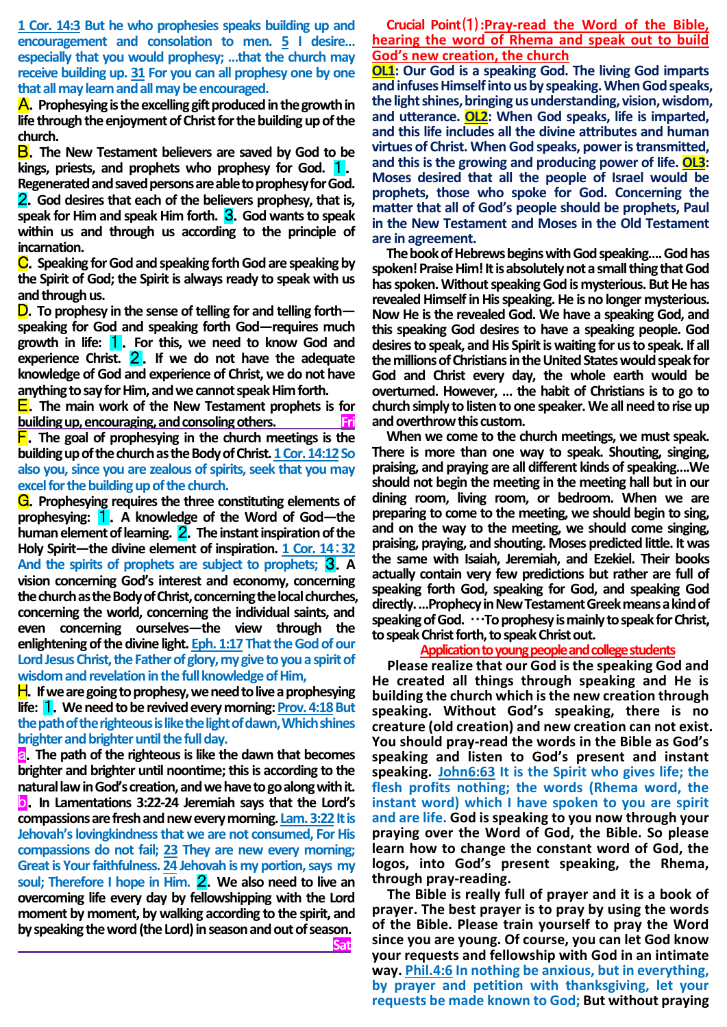**1 Cor. 14:3 But he who prophesies speaks building up and encouragement and consolation to men. 5 I desire… especially that you would prophesy; …that the church may receive building up. 31 For you can all prophesy one by one that all may learn and all may be encouraged.** 

A.**Prophesying is the excelling gift produced in the growth in life through the enjoyment of Christ for the building up of the church.**

B.**The New Testament believers are saved by God to be kings, priests, and prophets who prophesy for God.** 1. **Regenerated and saved persons are able to prophesy for God.** 2.**God desires that each of the believers prophesy, that is, speak for Him and speak Him forth. 3.** God wants to speak **within us and through us according to the principle of incarnation.**

C.**Speaking for God and speaking forth God are speaking by the Spirit of God; the Spirit is always ready to speak with us and through us.**

D.**To prophesy in the sense of telling for and telling forth speaking for God and speaking forth God—requires much growth in life:** 1.**For this, we need to know God and experience Christ.** 2 . **If we do not have the adequate knowledge of God and experience of Christ, we do not have anything to say for Him, and we cannot speak Him forth.**

E.**The main work of the New Testament prophets is for**  building up, encouraging, and consoling others.

F.**The goal of prophesying in the church meetings is the building up of the church as the Body of Christ. 1 Cor. 14:12So also you, since you are zealous of spirits, seek that you may excel for the building up of the church.**

G.**Prophesying requires the three constituting elements of prophesying:** 1.**A knowledge of the Word of God—the human element of learning.** 2.**The instant inspiration of the Holy Spirit—the divine element of inspiration. 1 Cor. 14**:**32 And the spirits of prophets are subject to prophets;** 3.**A vision concerning God's interest and economy, concerning the church as the Body of Christ, concerning the local churches, concerning the world, concerning the individual saints, and even concerning ourselves—the view through the enlightening of the divine light. Eph. 1:17 That the God of our Lord Jesus Christ, the Father of glory, my give to you a spirit of wisdom and revelation in the full knowledge of Him,**

**H**. If we are going to prophesy, we need to live a prophesying **life:** 1.**We need to be revived every morning: Prov. 4:18But the path of the righteous is like the light of dawn, Which shines brighter and brighter until the full day.**

a.**The path of the righteous is like the dawn that becomes brighter and brighter until noontime; this is according to the natural law in God's creation, and we have to go along with it.**  b.**In Lamentations 3:22-24 Jeremiah says that the Lord's**  compassions are fresh and new every morning. Lam. 3:22 It is **Jehovah's lovingkindness that we are not consumed, For His compassions do not fail; 23 They are new every morning; Great is Your faithfulness. 24 Jehovah is my portion, says my soul; Therefore I hope in Him.** 2.**We also need to live an overcoming life every day by fellowshipping with the Lord moment by moment, by walking according to the spirit, and by speaking the word (the Lord) in season and out of season. Sat**

**Crucial Point**⑴**:Pray-read the Word of the Bible, hearing the word of Rhema and speak out to build God's new creation, the church**

**OL1: Our God is a speaking God. The living God imparts and infuses Himself into us by speaking. When God speaks, the light shines, bringing us understanding, vision, wisdom, and utterance. OL2: When God speaks, life is imparted, and this life includes all the divine attributes and human virtues of Christ. When God speaks, power is transmitted, and this is the growing and producing power of life. OL3: Moses desired that all the people of Israel would be prophets, those who spoke for God. Concerning the matter that all of God's people should be prophets, Paul in the New Testament and Moses in the Old Testament are in agreement.**

**The book of Hebrews begins with God speaking…. God has spoken! Praise Him! It is absolutely not a small thing that God has spoken. Without speaking God is mysterious. But He has revealed Himself in His speaking. He is no longer mysterious. Now He is the revealed God. We have a speaking God, and this speaking God desires to have a speaking people. God desires to speak, and His Spirit is waiting for us to speak. If all the millions of Christians in the United States would speak for God and Christ every day, the whole earth would be overturned. However, … the habit of Christians is to go to church simply to listen to one speaker. We all need to rise up and overthrow this custom.**

**When we come to the church meetings, we must speak. There is more than one way to speak. Shouting, singing, praising, and praying are all different kinds of speaking….We should not begin the meeting in the meeting hall but in our dining room, living room, or bedroom. When we are preparing to come to the meeting, we should begin to sing, and on the way to the meeting, we should come singing, praising, praying, and shouting. Moses predicted little. It was the same with Isaiah, Jeremiah, and Ezekiel. Their books actually contain very few predictions but rather are full of speaking forth God, speaking for God, and speaking God directly. …Prophecy in New Testament Greek means a kind of speaking of God.** …**To prophesy is mainly to speak for Christ, to speak Christ forth, to speak Christ out.**

#### **Application to young people and college students**

**Please realize that our God is the speaking God and He created all things through speaking and He is building the church which is the new creation through speaking. Without God's speaking, there is no creature (old creation) and new creation can not exist. You should pray-read the words in the Bible as God's speaking and listen to God's present and instant speaking. John6:63 It is the Spirit who gives life; the flesh profits nothing; the words (Rhema word, the instant word) which I have spoken to you are spirit and are life. God is speaking to you now through your praying over the Word of God, the Bible. So please learn how to change the constant word of God, the logos, into God's present speaking, the Rhema, through pray-reading.** 

**The Bible is really full of prayer and it is a book of prayer. The best prayer is to pray by using the words of the Bible. Please train yourself to pray the Word since you are young. Of course, you can let God know your requests and fellowship with God in an intimate way. Phil.4:6 In nothing be anxious, but in everything, by prayer and petition with thanksgiving, let your requests be made known to God; But without praying**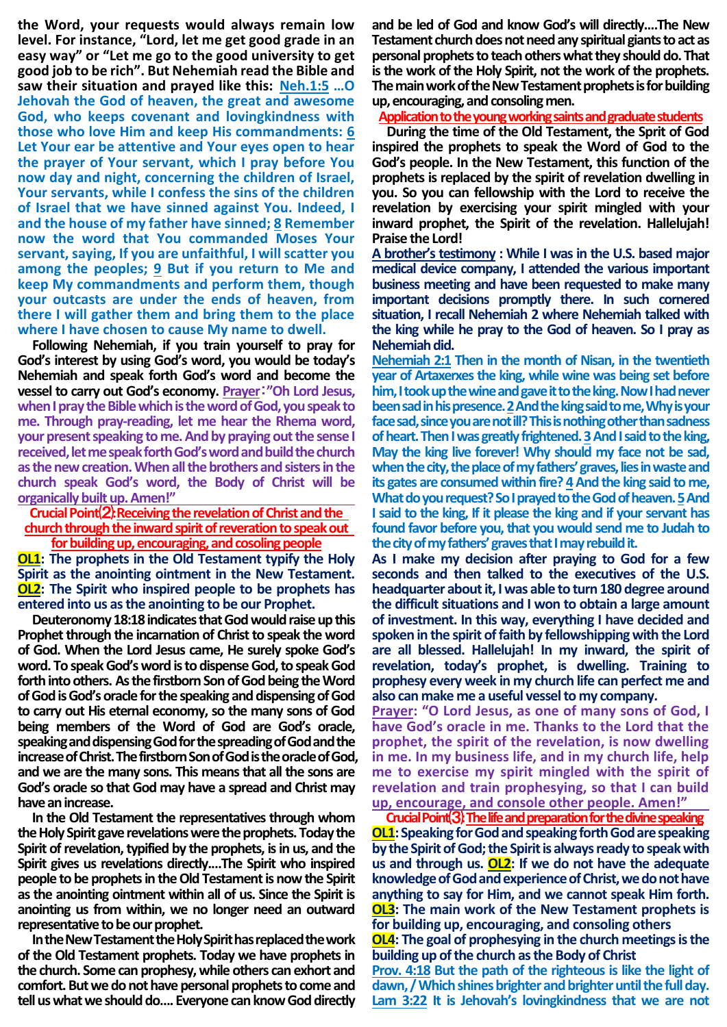**the Word, your requests would always remain low level. For instance, "Lord, let me get good grade in an easy way" or "Let me go to the good university to get good job to be rich". But Nehemiah read the Bible and saw their situation and prayed like this: Neh.1:5 …O Jehovah the God of heaven, the great and awesome God, who keeps covenant and lovingkindness with those who love Him and keep His commandments: 6 Let Your ear be attentive and Your eyes open to hear the prayer of Your servant, which I pray before You now day and night, concerning the children of Israel, Your servants, while I confess the sins of the children of Israel that we have sinned against You. Indeed, I and the house of my father have sinned; 8 Remember now the word that You commanded Moses Your servant, saying, If you are unfaithful, I will scatter you among the peoples; 9 But if you return to Me and keep My commandments and perform them, though your outcasts are under the ends of heaven, from there I will gather them and bring them to the place where I have chosen to cause My name to dwell.**

**Following Nehemiah, if you train yourself to pray for God's interest by using God's word, you would be today's Nehemiah and speak forth God's word and become the vessel to carry out God's economy. Prayer**:**"Oh Lord Jesus, when I pray the Bible which is the word of God, you speak to me. Through pray-reading, let me hear the Rhema word, your present speaking to me. And by praying out the sense I received, let me speak forth God's word and build the church as the new creation. When all the brothers and sisters in the church speak God's word, the Body of Christ will be organically built up. Amen!"** 

**Crucial Point**⑵**:Receiving the revelation of Christ and the church through the inward spirit of reveration to speak out** 

**for building up, encouraging, and cosoling people OL1: The prophets in the Old Testament typify the Holy Spirit as the anointing ointment in the New Testament. OL2: The Spirit who inspired people to be prophets has entered into us as the anointing to be our Prophet.**

**Deuteronomy 18:18 indicates that God would raise up this Prophet through the incarnation of Christ to speak the word of God. When the Lord Jesus came, He surely spoke God's word. To speak God's word is to dispense God, to speak God forth into others. As the firstborn Son of God being the Word of God is God's oracle for the speaking and dispensing of God to carry out His eternal economy, so the many sons of God being members of the Word of God are God's oracle, speaking and dispensing God for the spreading of God and the increase of Christ. The firstborn Son of God is the oracle of God, and we are the many sons. This means that all the sons are God's oracle so that God may have a spread and Christ may have an increase.**

**In the Old Testament the representatives through whom the Holy Spirit gave revelations were the prophets. Today the Spirit of revelation, typified by the prophets, is in us, and the Spirit gives us revelations directly.…The Spirit who inspired people to be prophets in the Old Testament is now the Spirit as the anointing ointment within all of us. Since the Spirit is anointing us from within, we no longer need an outward representative to be our prophet.**

**In the New Testament the Holy Spirit has replaced the work of the Old Testament prophets. Today we have prophets in the church. Some can prophesy, while others can exhort and comfort. But we do not have personal prophets to come and tell us what we should do…. Everyone can knowGod directly** 

**and be led of God and know God's will directly.…The New Testament church does not need any spiritual giants to act as personal prophets to teach others what they should do. That is the work of the Holy Spirit, not the work of the prophets. The main work of the New Testament prophets is for building up, encouraging, and consoling men.**

**Application to the young working saints and graduate students**

**During the time of the Old Testament, the Sprit of God inspired the prophets to speak the Word of God to the God's people. In the New Testament, this function of the prophets is replaced by the spirit of revelation dwelling in you. So you can fellowship with the Lord to receive the revelation by exercising your spirit mingled with your inward prophet, the Spirit of the revelation. Hallelujah! Praise the Lord!**

**A brother's testimony : While I was in the U.S. based major medical device company, I attended the various important business meeting and have been requested to make many important decisions promptly there. In such cornered situation, I recall Nehemiah 2 where Nehemiah talked with the king while he pray to the God of heaven. So I pray as Nehemiah did.**

**Nehemiah 2:1 Then in the month of Nisan, in the twentieth year of Artaxerxes the king, while wine was being set before him, I took up the wine and gave it to the king. Now I had never been sad in his presence. 2And the king said to me, Why is your face sad, since you are not ill? This is nothing other than sadness of heart. Then I was greatly frightened. 3And I said to the king, May the king live forever! Why should my face not be sad, when the city, the place of my fathers' graves, lies in waste and its gates are consumed within fire? 4And the king said to me, What do you request? So I prayed to the God of heaven. 5And I said to the king, If it please the king and if your servant has found favor before you, that you would send me to Judah to the city of my fathers' graves that I may rebuild it.**

**As I make my decision after praying to God for a few seconds and then talked to the executives of the U.S. headquarter about it, I was able to turn 180 degree around the difficult situations and I won to obtain a large amount of investment. In this way, everything I have decided and spoken in the spirit of faith by fellowshipping with the Lord are all blessed. Hallelujah! In my inward, the spirit of revelation, today's prophet, is dwelling. Training to prophesy every week in my church life can perfect me and also can make me a useful vessel to my company.**

**Prayer: "O Lord Jesus, as one of many sons of God, I have God's oracle in me. Thanks to the Lord that the prophet, the spirit of the revelation, is now dwelling in me. In my business life, and in my church life, help me to exercise my spirit mingled with the spirit of revelation and train prophesying, so that I can build up, encourage, and console other people. Amen!"**

**Crucial Point**⑶**:The life and preparation for the divine speaking OL1:** Speaking for God and speaking forth God are speaking **by the Spirit of God; the Spirit is always ready to speak with us and through us. OL2: If we do not have the adequate knowledge of God and experience of Christ, we do not have anything to say for Him, and we cannot speak Him forth. OL3: The main work of the New Testament prophets is for building up, encouraging, and consoling others**

**OL4: The goal of prophesying in the church meetings is the building up of the church as the Body of Christ**

**Prov. 4:18 But the path of the righteous is like the light of dawn, / Which shines brighter and brighter until the full day. Lam 3:22 It is Jehovah's lovingkindness that we are not**